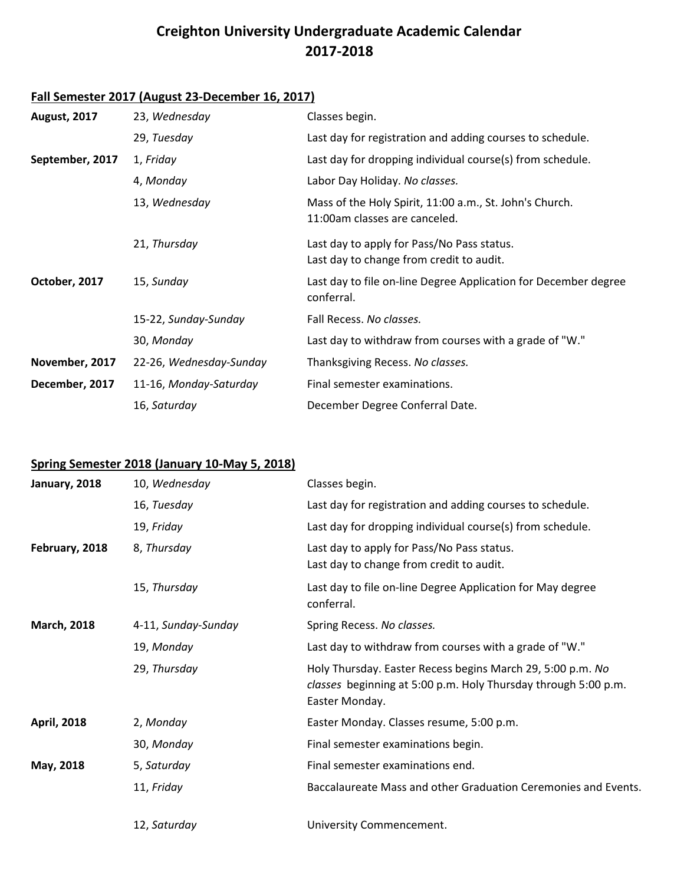## **Creighton University Undergraduate Academic Calendar 2017-2018**

## **Fall Semester 2017 (August 23-December 16, 2017)**

| <b>August, 2017</b> | 23, Wednesday           | Classes begin.                                                                           |
|---------------------|-------------------------|------------------------------------------------------------------------------------------|
|                     | 29, Tuesday             | Last day for registration and adding courses to schedule.                                |
| September, 2017     | 1, Friday               | Last day for dropping individual course(s) from schedule.                                |
|                     | 4, Monday               | Labor Day Holiday. No classes.                                                           |
|                     | 13, Wednesday           | Mass of the Holy Spirit, 11:00 a.m., St. John's Church.<br>11:00am classes are canceled. |
|                     | 21, Thursday            | Last day to apply for Pass/No Pass status.<br>Last day to change from credit to audit.   |
| October, 2017       | 15, Sunday              | Last day to file on-line Degree Application for December degree<br>conferral.            |
|                     | 15-22, Sunday-Sunday    | Fall Recess, No classes.                                                                 |
|                     | 30, Monday              | Last day to withdraw from courses with a grade of "W."                                   |
| November, 2017      | 22-26, Wednesday-Sunday | Thanksgiving Recess. No classes.                                                         |
| December, 2017      | 11-16, Monday-Saturday  | Final semester examinations.                                                             |
|                     | 16, Saturday            | December Degree Conferral Date.                                                          |

## **Spring Semester 2018 (January 10-May 5, 2018)**

| January, 2018      | 10, Wednesday       | Classes begin.                                                                                                                                 |
|--------------------|---------------------|------------------------------------------------------------------------------------------------------------------------------------------------|
|                    | 16, Tuesday         | Last day for registration and adding courses to schedule.                                                                                      |
|                    | 19, Friday          | Last day for dropping individual course(s) from schedule.                                                                                      |
| February, 2018     | 8, Thursday         | Last day to apply for Pass/No Pass status.<br>Last day to change from credit to audit.                                                         |
|                    | 15, Thursday        | Last day to file on-line Degree Application for May degree<br>conferral.                                                                       |
| <b>March, 2018</b> | 4-11, Sunday-Sunday | Spring Recess. No classes.                                                                                                                     |
|                    | 19, Monday          | Last day to withdraw from courses with a grade of "W."                                                                                         |
|                    | 29, Thursday        | Holy Thursday. Easter Recess begins March 29, 5:00 p.m. No<br>classes beginning at 5:00 p.m. Holy Thursday through 5:00 p.m.<br>Easter Monday. |
| <b>April, 2018</b> | 2, Monday           | Easter Monday. Classes resume, 5:00 p.m.                                                                                                       |
|                    | 30, Monday          | Final semester examinations begin.                                                                                                             |
| May, 2018          | 5, Saturday         | Final semester examinations end.                                                                                                               |
|                    | 11, Friday          | Baccalaureate Mass and other Graduation Ceremonies and Events.                                                                                 |
|                    | 12, Saturday        | University Commencement.                                                                                                                       |